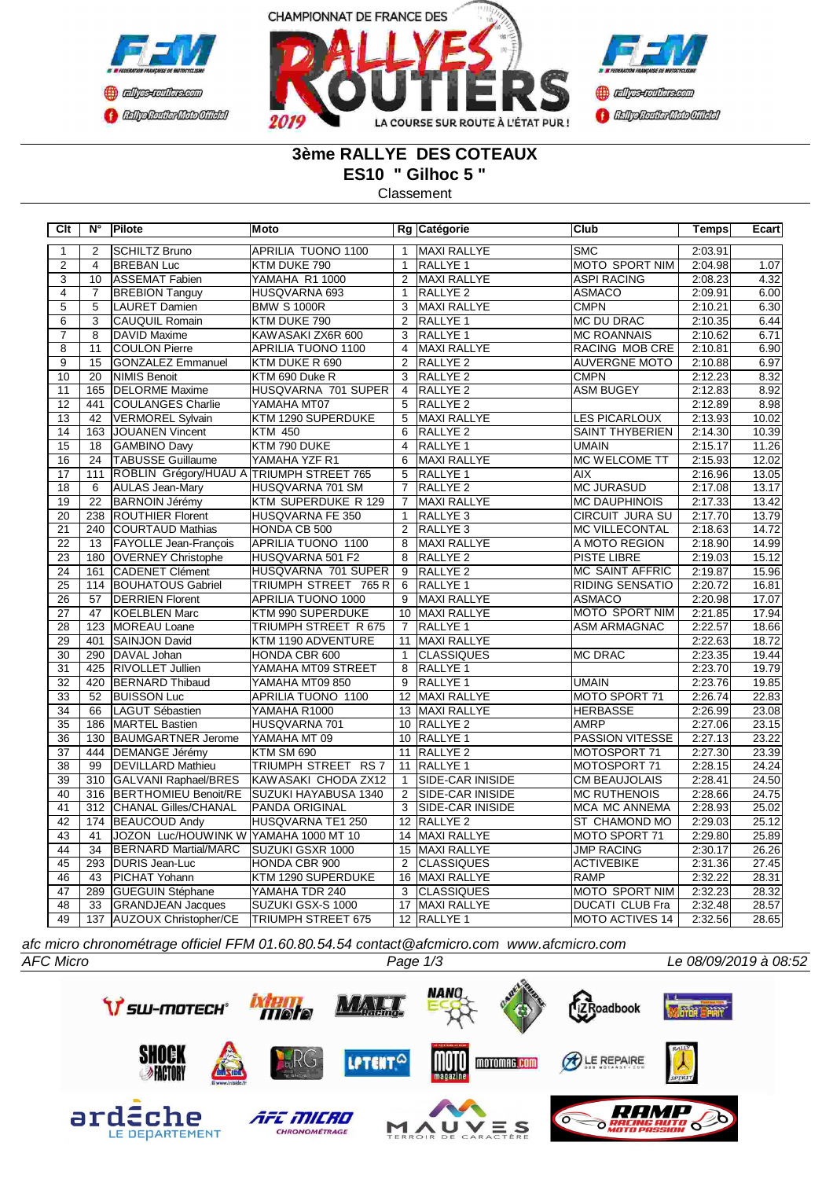



# **3ème RALLYE DES COTEAUX ES10 " Gilhoc 5 "**

Classement

| Clt             | N°               | <b>Pilote</b>                            | Moto                      |                | Rg Catégorie            | Club                   | <b>Temps</b> | Ecart |
|-----------------|------------------|------------------------------------------|---------------------------|----------------|-------------------------|------------------------|--------------|-------|
| $\mathbf{1}$    | 2                | SCHILTZ Bruno                            | APRILIA TUONO 1100        | $\mathbf{1}$   | <b>MAXI RALLYE</b>      | <b>SMC</b>             | 2:03.91      |       |
| $\overline{2}$  | $\overline{4}$   | <b>BREBAN Luc</b>                        | KTM DUKE 790              | $\mathbf{1}$   | <b>RALLYE 1</b>         | <b>MOTO SPORT NIM</b>  | 2:04.98      | 1.07  |
| $\overline{3}$  | 10               | ASSEMAT Fabien                           | YAMAHA R1 1000            | 2              | <b>MAXI RALLYE</b>      | <b>ASPI RACING</b>     | 2:08.23      | 4.32  |
| $\overline{4}$  | $\overline{7}$   | <b>BREBION Tanguy</b>                    | HUSQVARNA 693             | $\mathbf{1}$   | RALLYE <sub>2</sub>     | <b>ASMACO</b>          | 2:09.91      | 6.00  |
| $\overline{5}$  | $\overline{5}$   | <b>LAURET Damien</b>                     | <b>BMW S 1000R</b>        | 3              | MAXI RALLYE             | <b>CMPN</b>            | 2:10.21      | 6.30  |
| $\overline{6}$  | $\overline{3}$   | CAUQUIL Romain                           | KTM DUKE 790              | $\overline{2}$ | RALLYE <sub>1</sub>     | <b>MC DU DRAC</b>      | 2:10.35      | 6.44  |
| $\overline{7}$  | $\overline{8}$   | DAVID Maxime                             | KAWASAKI ZX6R 600         | 3              | RALLYE <sub>1</sub>     | <b>MC ROANNAIS</b>     | 2:10.62      | 6.71  |
| $\overline{8}$  | $\overline{11}$  | <b>COULON Pierre</b>                     | APRILIA TUONO 1100        | 4              | MAXI RALLYE             | RACING MOB CRE         | 2:10.81      | 6.90  |
| $\overline{9}$  | $\overline{15}$  | <b>GONZALEZ Emmanuel</b>                 | KTM DUKE R 690            | 2              | RALLYE <sub>2</sub>     | <b>AUVERGNE MOTO</b>   | 2:10.88      | 6.97  |
| 10              | 20               | NIMIS Benoit                             | KTM 690 Duke R            | 3              | RALLYE <sub>2</sub>     | <b>CMPN</b>            | 2:12.23      | 8.32  |
| 11              | 165              | <b>DELORME</b> Maxime                    | HUSQVARNA 701 SUPER       |                | 4 RALLYE 2              | <b>ASM BUGEY</b>       | 2:12.83      | 8.92  |
| 12              | 441              | COULANGES Charlie                        | YAMAHA MT07               | 5              | RALLYE <sub>2</sub>     |                        | 2:12.89      | 8.98  |
| $\overline{13}$ | 42               | VERMOREL Sylvain                         | KTM 1290 SUPERDUKE        | $\overline{5}$ | <b>MAXI RALLYE</b>      | <b>LES PICARLOUX</b>   | 2:13.93      | 10.02 |
| 14              | 163              | JOUANEN Vincent                          | <b>KTM 450</b>            | 6              | RALLYE <sub>2</sub>     | <b>SAINT THYBERIEN</b> | 2:14.30      | 10.39 |
| $\overline{15}$ | 18               | <b>GAMBINO Davy</b>                      | KTM 790 DUKE              | $\overline{4}$ | <b>RALLYE 1</b>         | <b>UMAIN</b>           | 2:15.17      | 11.26 |
| 16              | 24               | <b>TABUSSE Guillaume</b>                 | YAMAHA YZF R1             | 6              | MAXI RALLYE             | MC WELCOME TT          | 2:15.93      | 12.02 |
| 17              | 111              | ROBLIN Grégory/HUAU A TRIUMPH STREET 765 |                           | 5              | RALLYE <sub>1</sub>     | <b>AIX</b>             | 2:16.96      | 13.05 |
| $\overline{18}$ | 6                | <b>AULAS Jean-Mary</b>                   | HUSQVARNA 701 SM          | $\overline{7}$ | RALLYE <sub>2</sub>     | <b>MC JURASUD</b>      | 2:17.08      | 13.17 |
| 19              | 22               | <b>BARNOIN Jérémy</b>                    | KTM SUPERDUKE R 129       | $\overline{7}$ | MAXI RALLYE             | <b>MC DAUPHINOIS</b>   | 2:17.33      | 13.42 |
| 20              | 238              | <b>ROUTHIER Florent</b>                  | HUSQVARNA FE 350          | $\mathbf{1}$   | RALLYE <sub>3</sub>     | CIRCUIT JURA SU        | 2:17.70      | 13.79 |
| $\overline{21}$ | 240              | COURTAUD Mathias                         | HONDA CB 500              | $\overline{2}$ | RALLYE <sub>3</sub>     | <b>MC VILLECONTAL</b>  | 2:18.63      | 14.72 |
| 22              | 13               | FAYOLLE Jean-François                    | APRILIA TUONO 1100        | 8              | <b>MAXI RALLYE</b>      | A MOTO REGION          | 2:18.90      | 14.99 |
| 23              | 180              | <b>OVERNEY Christophe</b>                | HUSQVARNA 501 F2          | 8              | RALLYE <sub>2</sub>     | <b>PISTE LIBRE</b>     | 2:19.03      | 15.12 |
| $\overline{24}$ | 161              | CADENET Clément                          | HUSQVARNA 701 SUPER       |                | 9 RALLYE 2              | <b>MC SAINT AFFRIC</b> | 2:19.87      | 15.96 |
| $\overline{25}$ | 114              | <b>BOUHATOUS Gabriel</b>                 | TRIUMPH STREET 765 R      | 6              | <b>RALLYE 1</b>         | <b>RIDING SENSATIO</b> | 2:20.72      | 16.81 |
| $\overline{26}$ | 57               | <b>DERRIEN Florent</b>                   | APRILIA TUONO 1000        | 9              | MAXI RALLYE             | <b>ASMACO</b>          | 2:20.98      | 17.07 |
| $\overline{27}$ | 47               | KOELBLEN Marc                            | KTM 990 SUPERDUKE         |                | 10 MAXI RALLYE          | <b>MOTO SPORT NIM</b>  | 2:21.85      | 17.94 |
| $\overline{28}$ | 123              | MOREAU Loane                             | TRIUMPH STREET R 675      | 7              | <b>RALLYE 1</b>         | <b>ASM ARMAGNAC</b>    | 2:22.57      | 18.66 |
| 29              | 401              | SAINJON David                            | KTM 1190 ADVENTURE        |                | 11   MAXI RALLYE        |                        | 2:22.63      | 18.72 |
| 30              | 290              | DAVAL Johan                              | HONDA CBR 600             | $\mathbf{1}$   | <b>CLASSIQUES</b>       | <b>MC DRAC</b>         | 2:23.35      | 19.44 |
| $\overline{31}$ | 425              | <b>RIVOLLET Jullien</b>                  | YAMAHA MT09 STREET        | $\overline{8}$ | <b>RALLYE 1</b>         |                        | 2:23.70      | 19.79 |
| $\overline{32}$ | 420              | <b>BERNARD</b> Thibaud                   | YAMAHA MT09 850           | 9              | RALLYE <sub>1</sub>     | <b>UMAIN</b>           | 2:23.76      | 19.85 |
| $\overline{33}$ | 52               | <b>BUISSON Luc</b>                       | APRILIA TUONO 1100        |                | 12 MAXI RALLYE          | <b>MOTO SPORT 71</b>   | 2:26.74      | 22.83 |
| $\overline{34}$ | 66               | LAGUT Sébastien                          | YAMAHA R1000              |                | 13 MAXI RALLYE          | <b>HERBASSE</b>        | 2:26.99      | 23.08 |
| 35              | 186              | MARTEL Bastien                           | HUSQVARNA 701             |                | 10 RALLYE 2             | <b>AMRP</b>            | 2:27.06      | 23.15 |
| 36              | 130              | <b>BAUMGARTNER Jerome</b>                | YAMAHA MT 09              |                | 10 RALLYE 1             | <b>PASSION VITESSE</b> | 2:27.13      | 23.22 |
| 37              | 444              | DEMANGE Jérémy                           | KTM SM 690                | 11             | RALLYE <sub>2</sub>     | MOTOSPORT 71           | 2:27.30      | 23.39 |
| $\overline{38}$ | 99               | <b>DEVILLARD Mathieu</b>                 | TRIUMPH STREET RS 7       | 11             | <b>RALLYE 1</b>         | MOTOSPORT 71           | 2:28.15      | 24.24 |
| 39              | 310              | GALVANI Raphael/BRES                     | KAWASAKI CHODA ZX12       | $\mathbf{1}$   | <b>SIDE-CAR INISIDE</b> | <b>CM BEAUJOLAIS</b>   | 2:28.41      | 24.50 |
| 40              |                  | 316 BERTHOMIEU Benoit/RE                 | SUZUKI HAYABUSA 1340      | 2              | <b>SIDE-CAR INISIDE</b> | <b>MC RUTHENOIS</b>    | 2:28.66      | 24.75 |
| 41              | $\overline{312}$ | <b>CHANAL Gilles/CHANAL</b>              | <b>PANDA ORIGINAL</b>     | 3              | <b>SIDE-CAR INISIDE</b> | <b>MCA MC ANNEMA</b>   | 2:28.93      | 25.02 |
| $\overline{42}$ |                  | 174 BEAUCOUD Andy                        | HUSQVARNA TE1 250         |                | 12 RALLYE 2             | ST CHAMOND MO          | 2:29.03      | 25.12 |
| 43              | 41               | JOZON Luc/HOUWINK W YAMAHA 1000 MT 10    |                           |                | 14 MAXI RALLYE          | MOTO SPORT 71          | 2:29.80      | 25.89 |
| 44              | 34               | <b>BERNARD Martial/MARC</b>              | SUZUKI GSXR 1000          |                | 15 MAXI RALLYE          | <b>JMP RACING</b>      | 2:30.17      | 26.26 |
| 45              | 293              | DURIS Jean-Luc                           | HONDA CBR 900             | $\overline{2}$ | <b>CLASSIQUES</b>       | <b>ACTIVEBIKE</b>      | 2:31.36      | 27.45 |
| 46              | 43               | PICHAT Yohann                            | KTM 1290 SUPERDUKE        |                | 16 MAXI RALLYE          | <b>RAMP</b>            | 2:32.22      | 28.31 |
| 47              | 289              | <b>GUEGUIN Stéphane</b>                  | YAMAHA TDR 240            | 3              | <b>CLASSIQUES</b>       | MOTO SPORT NIM         | 2:32.23      | 28.32 |
| 48              | 33               | <b>GRANDJEAN Jacques</b>                 | SUZUKI GSX-S 1000         |                | 17 MAXI RALLYE          | <b>DUCATI CLUB Fra</b> | 2:32.48      | 28.57 |
| 49              |                  | 137 AUZOUX Christopher/CE                | <b>TRIUMPH STREET 675</b> |                | 12 RALLYE 1             | MOTO ACTIVES 14        | 2:32.56      | 28.65 |

*afc micro chronométrage officiel FFM 01.60.80.54.54 contact@afcmicro.com www.afcmicro.com*

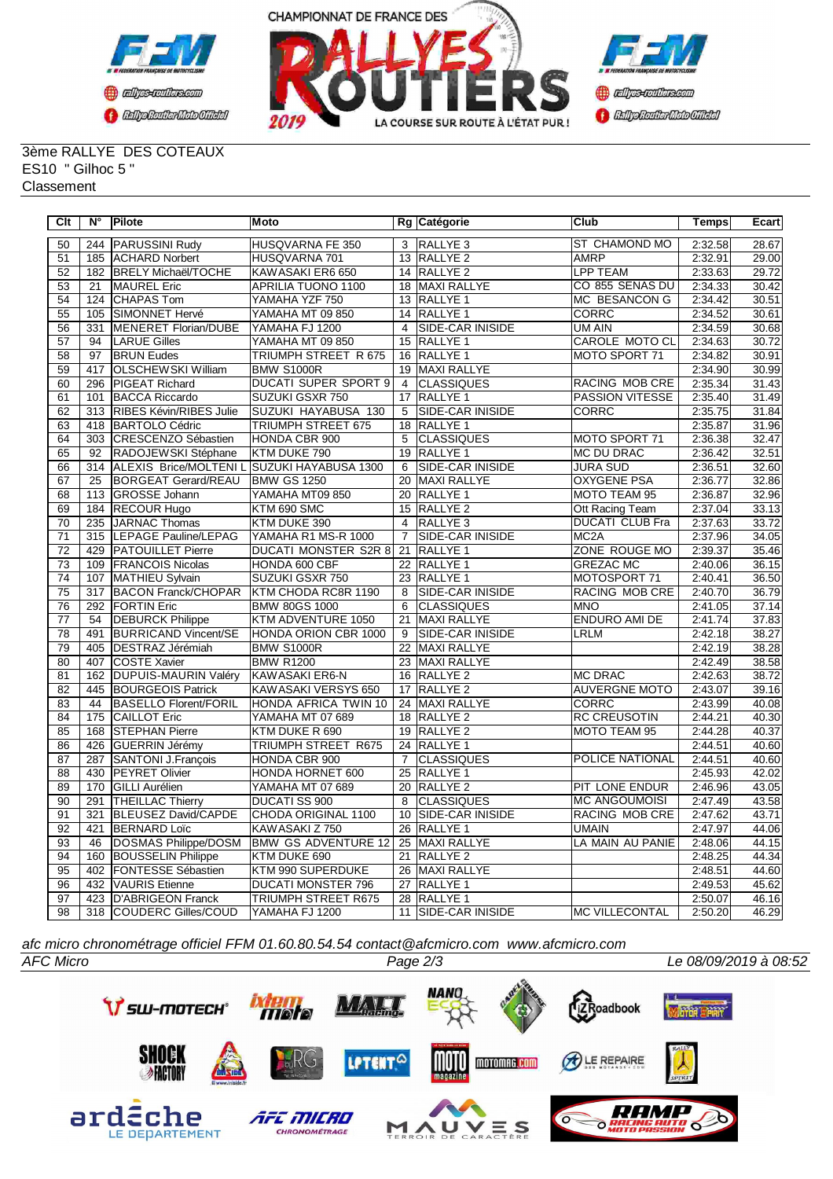



#### 3ème RALLYE DES COTEAUX ES10 " Gilhoc 5 " Classement

| Clt             | N°               | Pilote                                      | Moto                        |                 | Rg Catégorie            | <b>Club</b>            | Temps   | Ecart |
|-----------------|------------------|---------------------------------------------|-----------------------------|-----------------|-------------------------|------------------------|---------|-------|
| 50              | 244              | <b>PARUSSINI Rudy</b>                       | HUSQVARNA FE 350            | 3               | RALLYE <sub>3</sub>     | <b>ST CHAMOND MO</b>   | 2:32.58 | 28.67 |
| 51              |                  | 185 ACHARD Norbert                          | HUSQVARNA 701               |                 | 13 RALLYE 2             | <b>AMRP</b>            | 2:32.91 | 29.00 |
| 52              | 182              | <b>BRELY Michaël/TOCHE</b>                  | KAWASAKI ER6 650            |                 | 14 RALLYE 2             | <b>LPP TEAM</b>        | 2:33.63 | 29.72 |
| 53              | 21               | <b>MAUREL</b> Eric                          | APRILIA TUONO 1100          |                 | 18 MAXI RALLYE          | CO 855 SENAS DU        | 2:34.33 | 30.42 |
| 54              | 124              | <b>CHAPAS Tom</b>                           | YAMAHA YZF 750              |                 | 13 RALLYE 1             | <b>MC BESANCON G</b>   | 2:34.42 | 30.51 |
| 55              | 105              | SIMONNET Hervé                              | YAMAHA MT 09 850            | 14              | RALLYE 1                | <b>CORRC</b>           | 2:34.52 | 30.61 |
| 56              | 331              | MENERET Florian/DUBE                        | YAMAHA FJ 1200              | $\overline{4}$  | <b>SIDE-CAR INISIDE</b> | UM AIN                 | 2:34.59 | 30.68 |
| 57              | 94               | <b>LARUE Gilles</b>                         | YAMAHA MT 09 850            | 15              | RALLYE <sub>1</sub>     | <b>CAROLE MOTO CL</b>  | 2:34.63 | 30.72 |
| 58              | 97               | <b>BRUN Eudes</b>                           | TRIUMPH STREET R 675        |                 | 16 RALLYE 1             | MOTO SPORT 71          | 2:34.82 | 30.91 |
| 59              | 417              | <b>OLSCHEWSKI William</b>                   | <b>BMW S1000R</b>           | 19              | <b>MAXI RALLYE</b>      |                        | 2:34.90 | 30.99 |
| 60              | 296              | PIGEAT Richard                              | <b>DUCATI SUPER SPORT 9</b> | $\overline{4}$  | <b>CLASSIQUES</b>       | RACING MOB CRE         | 2:35.34 | 31.43 |
| 61              | 101              | <b>BACCA Riccardo</b>                       | SUZUKI GSXR 750             |                 | 17 RALLYE 1             | <b>PASSION VITESSE</b> | 2:35.40 | 31.49 |
| 62              | 313              | <b>RIBES Kévin/RIBES Julie</b>              | SUZUKI HAYABUSA 130         | 5               | <b>SIDE-CAR INISIDE</b> | <b>CORRC</b>           | 2:35.75 | 31.84 |
| 63              | 418              | <b>BARTOLO Cédric</b>                       | <b>TRIUMPH STREET 675</b>   |                 | 18 RALLYE 1             |                        | 2:35.87 | 31.96 |
| 64              | 303              | CRESCENZO Sébastien                         | HONDA CBR 900               | 5               | <b>CLASSIQUES</b>       | MOTO SPORT 71          | 2:36.38 | 32.47 |
| 65              | 92               | RADOJEWSKI Stéphane                         | KTM DUKE 790                | $\overline{19}$ | RALLYE 1                | <b>MC DU DRAC</b>      | 2:36.42 | 32.51 |
| 66              | 314              | ALEXIS Brice/MOLTENI L SUZUKI HAYABUSA 1300 |                             | 6               | SIDE-CAR INISIDE        | <b>JURA SUD</b>        | 2:36.51 | 32.60 |
| 67              | $\overline{25}$  | <b>BORGEAT Gerard/REAU</b>                  | <b>BMW GS 1250</b>          | $\overline{20}$ | <b>MAXI RALLYE</b>      | <b>OXYGENE PSA</b>     | 2:36.77 | 32.86 |
| 68              | 113              | GROSSE Johann                               | YAMAHA MT09 850             | 20              | RALLYE <sub>1</sub>     | MOTO TEAM 95           | 2:36.87 | 32.96 |
| 69              | 184              | <b>RECOUR Hugo</b>                          | KTM 690 SMC                 | 15              | RALLYE <sub>2</sub>     | Ott Racing Team        | 2:37.04 | 33.13 |
| $\overline{70}$ | 235              | JARNAC Thomas                               | KTM DUKE 390                | $\overline{4}$  | RALLYE <sub>3</sub>     | <b>DUCATI CLUB Fra</b> | 2:37.63 | 33.72 |
| $\overline{71}$ | 315              | LEPAGE Pauline/LEPAG                        | YAMAHA R1 MS-R 1000         | $\overline{7}$  | SIDE-CAR INISIDE        | MC <sub>2</sub> A      | 2:37.96 | 34.05 |
| $\overline{72}$ | 429              | <b>PATOUILLET</b> Pierre                    | <b>DUCATI MONSTER S2R 8</b> | $\overline{21}$ | <b>RALLYE 1</b>         | ZONE ROUGE MO          | 2:39.37 | 35.46 |
| 73              | 109              | <b>FRANCOIS Nicolas</b>                     | HONDA 600 CBF               |                 | 22 RALLYE 1             | <b>GREZAC MC</b>       | 2:40.06 | 36.15 |
| $\overline{74}$ | 107              | MATHIEU Sylvain                             | <b>SUZUKI GSXR 750</b>      |                 | 23 RALLYE 1             | MOTOSPORT 71           | 2:40.41 | 36.50 |
| $\overline{75}$ | $\overline{317}$ | <b>BACON Franck/CHOPAR</b>                  | KTM CHODA RC8R 1190         | 8               | <b>SIDE-CAR INISIDE</b> | <b>RACING MOB CRE</b>  | 2:40.70 | 36.79 |
| 76              |                  | 292 FORTIN Eric                             | <b>BMW 80GS 1000</b>        | 6               | <b>CLASSIQUES</b>       | <b>MNO</b>             | 2:41.05 | 37.14 |
| $\overline{77}$ | 54               | <b>DEBURCK Philippe</b>                     | KTM ADVENTURE 1050          | $\overline{21}$ | <b>MAXI RALLYE</b>      | <b>ENDURO AMI DE</b>   | 2:41.74 | 37.83 |
| $\overline{78}$ | 491              | <b>BURRICAND Vincent/SE</b>                 | HONDA ORION CBR 1000        | $\overline{9}$  | <b>SIDE-CAR INISIDE</b> | <b>LRLM</b>            | 2:42.18 | 38.27 |
| 79              | 405              | <b>DESTRAZ Jérémiah</b>                     | <b>BMW S1000R</b>           |                 | 22 MAXI RALLYE          |                        | 2:42.19 | 38.28 |
| 80              | 407              | <b>COSTE Xavier</b>                         | <b>BMW R1200</b>            | $\overline{23}$ | <b>MAXI RALLYE</b>      |                        | 2:42.49 | 38.58 |
| $\overline{81}$ | 162              | <b>DUPUIS-MAURIN Valéry</b>                 | <b>KAWASAKI ER6-N</b>       | 16              | <b>RALLYE 2</b>         | <b>MC DRAC</b>         | 2:42.63 | 38.72 |
| 82              | 445              | <b>BOURGEOIS Patrick</b>                    | KAWASAKI VERSYS 650         | 17              | RALLYE <sub>2</sub>     | <b>AUVERGNE MOTO</b>   | 2:43.07 | 39.16 |
| 83              | 44               | <b>BASELLO Florent/FORIL</b>                | HONDA AFRICA TWIN 10        |                 | 24 MAXI RALLYE          | <b>CORRC</b>           | 2:43.99 | 40.08 |
| 84              | 175              | <b>CAILLOT Eric</b>                         | YAMAHA MT 07 689            | 18              | <b>RALLYE 2</b>         | <b>RC CREUSOTIN</b>    | 2:44.21 | 40.30 |
| 85              | 168              | <b>STEPHAN Pierre</b>                       | KTM DUKE R 690              |                 | 19 RALLYE 2             | <b>MOTO TEAM 95</b>    | 2:44.28 | 40.37 |
| 86              | 426              | <b>GUERRIN Jérémy</b>                       | <b>TRIUMPH STREET R675</b>  | $\overline{24}$ | <b>RALLYE 1</b>         |                        | 2:44.51 | 40.60 |
| 87              | 287              | SANTONI J.François                          | HONDA CBR 900               | $\overline{7}$  | <b>CLASSIQUES</b>       | <b>POLICE NATIONAL</b> | 2:44.51 | 40.60 |
| $\overline{88}$ | 430              | <b>PEYRET Olivier</b>                       | <b>HONDA HORNET 600</b>     |                 | 25 RALLYE 1             |                        | 2:45.93 | 42.02 |
| 89              | 170              | <b>GILLI Aurélien</b>                       | YAMAHA MT 07 689            |                 | 20 RALLYE 2             | <b>PIT LONE ENDUR</b>  | 2:46.96 | 43.05 |
| $\overline{90}$ | 291              | <b>THEILLAC Thierry</b>                     | <b>DUCATI SS 900</b>        | 8               | <b>CLASSIQUES</b>       | IMC ANGOUMOISI         | 2:47.49 | 43.58 |
| $\overline{91}$ | 321              | <b>BLEUSEZ David/CAPDE</b>                  | CHODA ORIGINAL 1100         | 10              | <b>SIDE-CAR INISIDE</b> | <b>RACING MOB CRE</b>  | 2:47.62 | 43.71 |
| 92              | 421              | <b>BERNARD Loïc</b>                         | KAWASAKI Z 750              | 26              | RALLYE <sub>1</sub>     | <b>UMAIN</b>           | 2:47.97 | 44.06 |
| 93              | 46               | DOSMAS Philippe/DOSM                        | <b>BMW GS ADVENTURE 12</b>  |                 | 25 MAXI RALLYE          | LA MAIN AU PANIE       | 2:48.06 | 44.15 |
| 94              |                  | 160 BOUSSELIN Philippe                      | KTM DUKE 690                |                 | 21 RALLYE 2             |                        | 2:48.25 | 44.34 |
| 95              |                  | 402   FONTESSE Sébastien                    | KTM 990 SUPERDUKE           | 26              | <b>MAXI RALLYE</b>      |                        | 2:48.51 | 44.60 |
| 96              |                  | 432 VAURIS Etienne                          | <b>DUCATI MONSTER 796</b>   |                 | 27 RALLYE 1             |                        | 2:49.53 | 45.62 |
| 97              | 423              | <b>D'ABRIGEON Franck</b>                    | <b>TRIUMPH STREET R675</b>  | $\overline{28}$ | <b>RALLYE 1</b>         |                        | 2:50.07 | 46.16 |
| 98              |                  | 318 COUDERC Gilles/COUD                     | YAMAHA FJ 1200              | 11              | <b>SIDE-CAR INISIDE</b> | <b>MC VILLECONTAL</b>  | 2:50.20 | 46.29 |

*afc micro chronométrage officiel FFM 01.60.80.54.54 contact@afcmicro.com www.afcmicro.com*